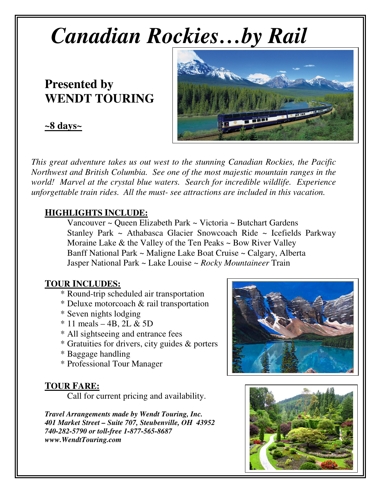# *Canadian Rockies…by Rail*

## **Presented by WENDT TOURING**

### **~8 days~**



*This great adventure takes us out west to the stunning Canadian Rockies, the Pacific Northwest and British Columbia. See one of the most majestic mountain ranges in the world! Marvel at the crystal blue waters. Search for incredible wildlife. Experience unforgettable train rides. All the must- see attractions are included in this vacation.* 

#### **HIGHLIGHTS INCLUDE:**

 Vancouver ~ Queen Elizabeth Park ~ Victoria ~ Butchart Gardens Stanley Park ~ Athabasca Glacier Snowcoach Ride ~ Icefields Parkway Moraine Lake  $\&$  the Valley of the Ten Peaks  $\sim$  Bow River Valley Banff National Park ~ Maligne Lake Boat Cruise ~ Calgary, Alberta Jasper National Park ~ Lake Louise ~ *Rocky Mountaineer* Train

#### **TOUR INCLUDES:**

- \* Round-trip scheduled air transportation
- \* Deluxe motorcoach & rail transportation
- \* Seven nights lodging
- $*$  11 meals 4B, 2L & 5D
- \* All sightseeing and entrance fees
- \* Gratuities for drivers, city guides & porters
- \* Baggage handling
- \* Professional Tour Manager

#### **TOUR FARE:**

Call for current pricing and availability.

*Travel Arrangements made by Wendt Touring, Inc. 401 Market Street – Suite 707, Steubenville, OH 43952 740-282-5790 or toll-free 1-877-565-8687 www.WendtTouring.com*